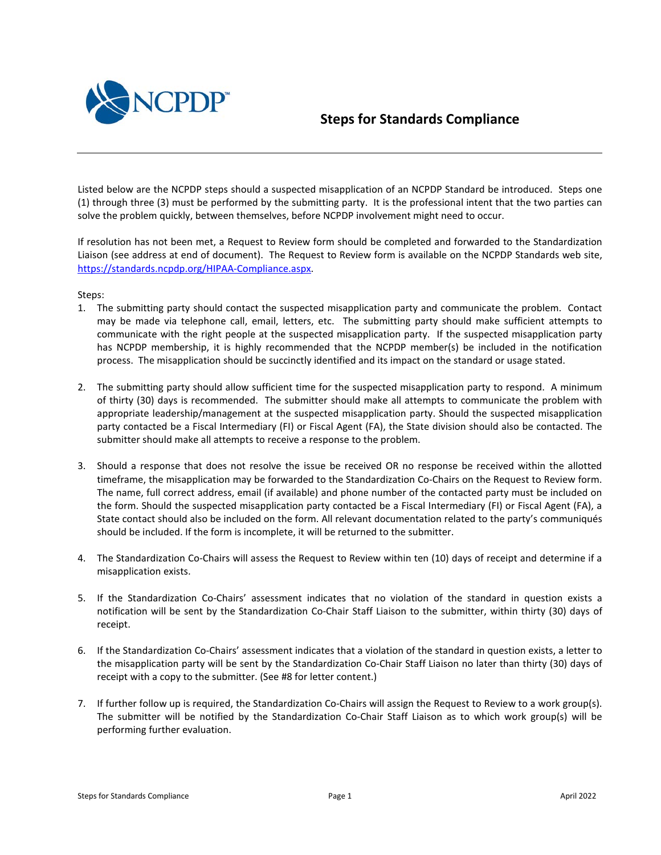

## **Steps for Standards Compliance**

Listed below are the NCPDP steps should a suspected misapplication of an NCPDP Standard be introduced. Steps one (1) through three (3) must be performed by the submitting party. It is the professional intent that the two parties can solve the problem quickly, between themselves, before NCPDP involvement might need to occur.

If resolution has not been met, a Request to Review form should be completed and forwarded to the Standardization Liaison (see address at end of document). The Request to Review form is available on the NCPDP Standards web site, [https://standards.ncpdp.org/HIPAA-Compliance.aspx.](https://standards.ncpdp.org/HIPAA-Compliance.aspx)

Steps:

- 1. The submitting party should contact the suspected misapplication party and communicate the problem. Contact may be made via telephone call, email, letters, etc. The submitting party should make sufficient attempts to communicate with the right people at the suspected misapplication party. If the suspected misapplication party has NCPDP membership, it is highly recommended that the NCPDP member(s) be included in the notification process. The misapplication should be succinctly identified and its impact on the standard or usage stated.
- 2. The submitting party should allow sufficient time for the suspected misapplication party to respond. A minimum of thirty (30) days is recommended. The submitter should make all attempts to communicate the problem with appropriate leadership/management at the suspected misapplication party. Should the suspected misapplication party contacted be a Fiscal Intermediary (FI) or Fiscal Agent (FA), the State division should also be contacted. The submitter should make all attempts to receive a response to the problem.
- 3. Should a response that does not resolve the issue be received OR no response be received within the allotted timeframe, the misapplication may be forwarded to the Standardization Co-Chairs on the Request to Review form. The name, full correct address, email (if available) and phone number of the contacted party must be included on the form. Should the suspected misapplication party contacted be a Fiscal Intermediary (FI) or Fiscal Agent (FA), a State contact should also be included on the form. All relevant documentation related to the party's communiqués should be included. If the form is incomplete, it will be returned to the submitter.
- 4. The Standardization Co-Chairs will assess the Request to Review within ten (10) days of receipt and determine if a misapplication exists.
- 5. If the Standardization Co-Chairs' assessment indicates that no violation of the standard in question exists a notification will be sent by the Standardization Co-Chair Staff Liaison to the submitter, within thirty (30) days of receipt.
- 6. If the Standardization Co-Chairs' assessment indicates that a violation of the standard in question exists, a letter to the misapplication party will be sent by the Standardization Co-Chair Staff Liaison no later than thirty (30) days of receipt with a copy to the submitter. (See #8 for letter content.)
- 7. If further follow up is required, the Standardization Co-Chairs will assign the Request to Review to a work group(s). The submitter will be notified by the Standardization Co-Chair Staff Liaison as to which work group(s) will be performing further evaluation.